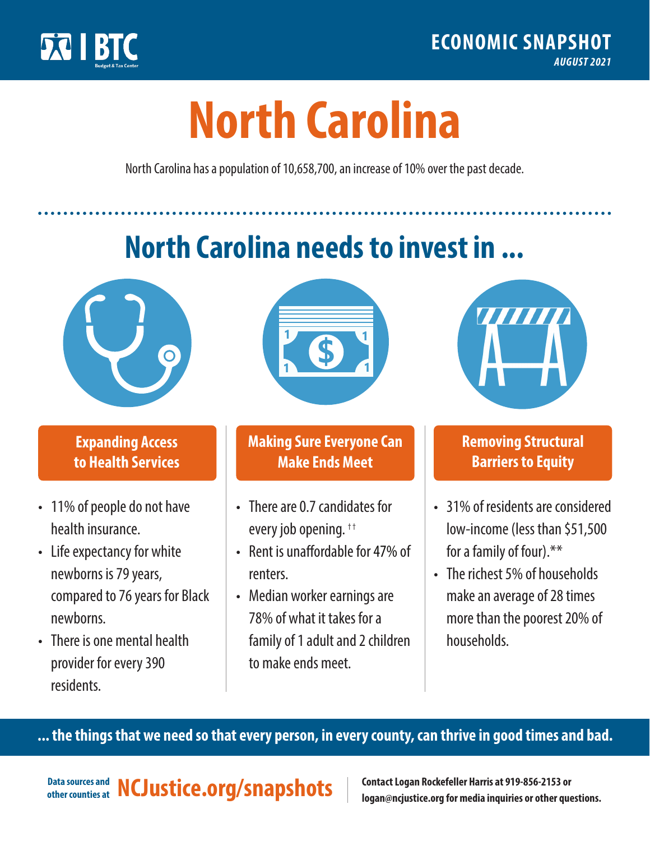

# **North Carolina**

**\$ <sup>1</sup>**

North Carolina has a population of 10,658,700, an increase of 10% over the past decade.

# **North Carolina needs to invest in ...**



**. . . . . . .** 

# **Expanding Access to Health Services**

- 11% of people do not have health insurance.
- Life expectancy for white newborns is 79 years, compared to 76 years for Black newborns.
- There is one mental health provider for every 390 residents.



## **Making Sure Everyone Can Make Ends Meet**

- There are 0.7 candidates for every job opening. <sup>†</sup>
- Rent is unaffordable for 47% of renters.
- Median worker earnings are 78% of what it takes for a family of 1 adult and 2 children to make ends meet.



## **Removing Structural Barriers to Equity**

- 31% of residents are considered low-income (less than \$51,500 for a family of four).\*\*
- The richest 5% of households make an average of 28 times more than the poorest 20% of households.

**... the things that we need so that every person, in every county, can thrive in good times and bad.**

Data sources and **NCJustice.org/snapshots** 

**Contact Logan Rockefeller Harris at 919-856-2153 or logan@ncjustice.org for media inquiries or other questions.**